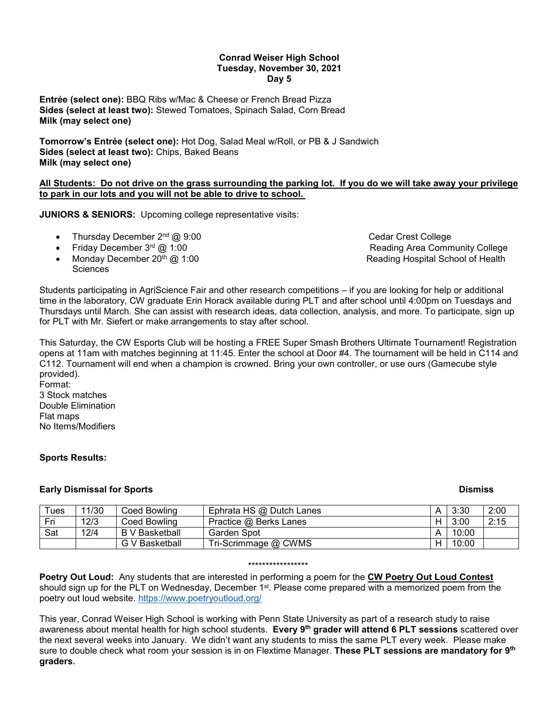#### **Conrad Weiser High School Tuesday, November 30, 2021 Day 5**

**Entrée (select one):** BBQ Ribs w/Mac & Cheese or French Bread Pizza **Sides (select at least two):** Stewed Tomatoes, Spinach Salad, Corn Bread **Milk (may select one)**

**Tomorrow's Entrée (select one):** Hot Dog, Salad Meal w/Roll, or PB & J Sandwich **Sides (select at least two):** Chips, Baked Beans **Milk (may select one)**

## **All Students: Do not drive on the grass surrounding the parking lot. If you do we will take away your privilege to park in our lots and you will not be able to drive to school.**

**JUNIORS & SENIORS:** Upcoming college representative visits:

- Thursday December 2<sup>nd</sup> @ 9:00 Cedar Crest College
- Friday December 3<sup>rd</sup> @ 1:00 **Area Community College** Reading Area Community College
- Monday December 20<sup>th</sup> @ 1:00 **Reading Hospital School of Health** Reading Hospital School of Health **Sciences**

Students participating in AgriScience Fair and other research competitions – if you are looking for help or additional time in the laboratory, CW graduate Erin Horack available during PLT and after school until 4:00pm on Tuesdays and Thursdays until March. She can assist with research ideas, data collection, analysis, and more. To participate, sign up for PLT with Mr. Siefert or make arrangements to stay after school.

This Saturday, the CW Esports Club will be hosting a FREE Super Smash Brothers Ultimate Tournament! Registration opens at 11am with matches beginning at 11:45. Enter the school at Door #4. The tournament will be held in C114 and C112. Tournament will end when a champion is crowned. Bring your own controller, or use ours (Gamecube style provided). Format:

3 Stock matches Double Elimination Flat maps No Items/Modifiers

# **Sports Results:**

### **Early Dismissal for Sports Dismiss**

| Tues | 11/30 | Coed Bowlina   | Ephrata HS @ Dutch Lanes | 3:30  | 2:00 |
|------|-------|----------------|--------------------------|-------|------|
| Fri  | 12/3  | Coed Bowlina   | Practice @ Berks Lanes   | 3:00  | 2:15 |
| Sat  | 12/4  | B V Basketball | Garden Spot              | 10:00 |      |
|      |       | G V Basketball | Tri-Scrimmage @ CWMS     | 10:00 |      |

#### \*\*\*\*\*\*\*\*\*\*\*\*\*\*\*\*\*

**Poetry Out Loud:** Any students that are interested in performing a poem for the **CW Poetry Out Loud Contest** should sign up for the PLT on Wednesday, December 1<sup>st</sup>. Please come prepared with a memorized poem from the poetry out loud website.<https://www.poetryoutloud.org/>

This year, Conrad Weiser High School is working with Penn State University as part of a research study to raise awareness about mental health for high school students. **Every 9th grader will attend 6 PLT sessions** scattered over the next several weeks into January. We didn't want any students to miss the same PLT every week. Please make sure to double check what room your session is in on Flextime Manager. **These PLT sessions are mandatory for 9th graders.**